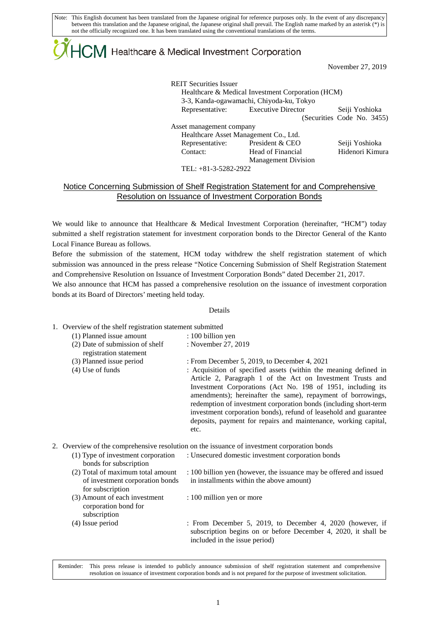Note: This English document has been translated from the Japanese original for reference purposes only. In the event of any discrepancy between this translation and the Japanese original, the Japanese original shall prevail. The English name marked by an asterisk (\*) is not the officially recognized one. It has been translated using the conventional translations of the terms.

# $\mathsf{ICM}\xspace$  Healthcare & Medical Investment Corporation

November 27, 2019

| <b>REIT Securities Issuer</b>         | Healthcare & Medical Investment Corporation (HCM)<br>3-3, Kanda-ogawamachi, Chiyoda-ku, Tokyo |                            |  |  |
|---------------------------------------|-----------------------------------------------------------------------------------------------|----------------------------|--|--|
| Representative: Executive Director    |                                                                                               | Seiji Yoshioka             |  |  |
|                                       |                                                                                               | (Securities Code No. 3455) |  |  |
| Asset management company              |                                                                                               |                            |  |  |
| Healthcare Asset Management Co., Ltd. |                                                                                               |                            |  |  |
| Representative:                       | President & CEO                                                                               | Seiji Yoshioka             |  |  |
| Contact:                              | Head of Financial                                                                             | Hidenori Kimura            |  |  |
|                                       | <b>Management Division</b>                                                                    |                            |  |  |
| TEL: +81-3-5282-2922                  |                                                                                               |                            |  |  |

## Notice Concerning Submission of Shelf Registration Statement for and Comprehensive Resolution on Issuance of Investment Corporation Bonds

We would like to announce that Healthcare & Medical Investment Corporation (hereinafter, "HCM") today submitted a shelf registration statement for investment corporation bonds to the Director General of the Kanto Local Finance Bureau as follows.

Before the submission of the statement, HCM today withdrew the shelf registration statement of which submission was announced in the press release "Notice Concerning Submission of Shelf Registration Statement and Comprehensive Resolution on Issuance of Investment Corporation Bonds" dated December 21, 2017.

We also announce that HCM has passed a comprehensive resolution on the issuance of investment corporation bonds at its Board of Directors' meeting held today.

#### Details

#### 1. Overview of the shelf registration statement submitted

| (1) Planned issue amount                                  | $: 100$ billion yen                                                                                                                                                                                                                                                                                                                                                                                                                                                      |
|-----------------------------------------------------------|--------------------------------------------------------------------------------------------------------------------------------------------------------------------------------------------------------------------------------------------------------------------------------------------------------------------------------------------------------------------------------------------------------------------------------------------------------------------------|
| (2) Date of submission of shelf<br>registration statement | : November 27, 2019                                                                                                                                                                                                                                                                                                                                                                                                                                                      |
| (3) Planned issue period                                  | : From December 5, 2019, to December 4, 2021                                                                                                                                                                                                                                                                                                                                                                                                                             |
| $(4)$ Use of funds                                        | : Acquisition of specified assets (within the meaning defined in<br>Article 2, Paragraph 1 of the Act on Investment Trusts and<br>Investment Corporations (Act No. 198 of 1951, including its<br>amendments); hereinafter the same), repayment of borrowings,<br>redemption of investment corporation bonds (including short-term<br>investment corporation bonds), refund of leasehold and guarantee<br>deposits, payment for repairs and maintenance, working capital, |

### 2. Overview of the comprehensive resolution on the issuance of investment corporation bonds

etc.

| (1) Type of investment corporation<br>bonds for subscription                             | : Unsecured domestic investment corporation bonds                                                                                                            |
|------------------------------------------------------------------------------------------|--------------------------------------------------------------------------------------------------------------------------------------------------------------|
| (2) Total of maximum total amount<br>of investment corporation bonds<br>for subscription | : 100 billion yen (however, the issuance may be offered and issued<br>in installments within the above amount)                                               |
| (3) Amount of each investment<br>corporation bond for<br>subscription                    | : 100 million yen or more                                                                                                                                    |
| (4) Issue period                                                                         | : From December 5, 2019, to December 4, 2020 (however, if<br>subscription begins on or before December 4, 2020, it shall be<br>included in the issue period) |

Reminder: This press release is intended to publicly announce submission of shelf registration statement and comprehensive resolution on issuance of investment corporation bonds and is not prepared for the purpose of investment solicitation.